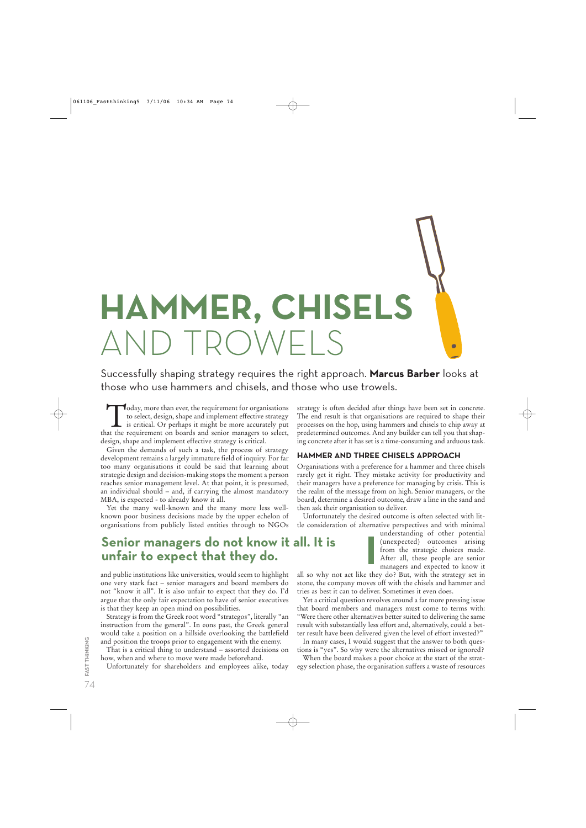**HAMMER, CHISELS** AND TROWELS

Successfully shaping strategy requires the right approach. **Marcus Barber** looks at those who use hammers and chisels, and those who use trowels.

Today, more than ever, the requirement for organisations<br>to select, design, shape and implement effective strategy<br>is critical. Or perhaps it might be more accurately put<br>at the requirement on boards and senior managers to to select, design, shape and implement effective strategy is critical. Or perhaps it might be more accurately put that the requirement on boards and senior managers to select, design, shape and implement effective strategy is critical.

Given the demands of such a task, the process of strategy development remains a largely immature field of inquiry. For far too many organisations it could be said that learning about strategic design and decision-making stops the moment a person reaches senior management level. At that point, it is presumed, an individual should  $-$  and, if carrying the almost mandatory MBA, is expected - to already know it all.

Yet the many well-known and the many more less wellknown poor business decisions made by the upper echelon of organisations from publicly listed entities through to NGOs

# **Senior managers do not know it all. It is unfair to expect that they do.**

and public institutions like universities, would seem to highlight one very stark fact – senior managers and board members do not "know it all". It is also unfair to expect that they do. I'd argue that the only fair expectation to have of senior executives is that they keep an open mind on possibilities.

Strategy is from the Greek root word "strategos", literally "an instruction from the general". In eons past, the Greek general would take a position on a hillside overlooking the battlefield and position the troops prior to engagement with the enemy.

That is a critical thing to understand – assorted decisions on how, when and where to move were made beforehand.

Unfortunately for shareholders and employees alike, today

strategy is often decided after things have been set in concrete. The end result is that organisations are required to shape their processes on the hop, using hammers and chisels to chip away at predetermined outcomes. And any builder can tell you that shaping concrete after it has set is a time-consuming and arduous task.

### **HAMMER AND THREE CHISELS APPROACH**

Organisations with a preference for a hammer and three chisels rarely get it right. They mistake activity for productivity and their managers have a preference for managing by crisis. This is the realm of the message from on high. Senior managers, or the board, determine a desired outcome, draw a line in the sand and then ask their organisation to deliver.

Unfortunately the desired outcome is often selected with little consideration of alternative perspectives and with minimal

understanding of other potential (unexpected) outcomes arising from the strategic choices made. After all, these people are senior managers and expected to know it

Ċ

all so why not act like they do? But, with the strategy set in stone, the company moves off with the chisels and hammer and tries as best it can to deliver. Sometimes it even does.

Yet a critical question revolves around a far more pressing issue that board members and managers must come to terms with: "Were there other alternatives better suited to delivering the same result with substantially less effort and, alternatively, could a better result have been delivered given the level of effort invested?"

In many cases, I would suggest that the answer to both questions is "yes". So why were the alternatives missed or ignored?

When the board makes a poor choice at the start of the strategy selection phase, the organisation suffers a waste of resources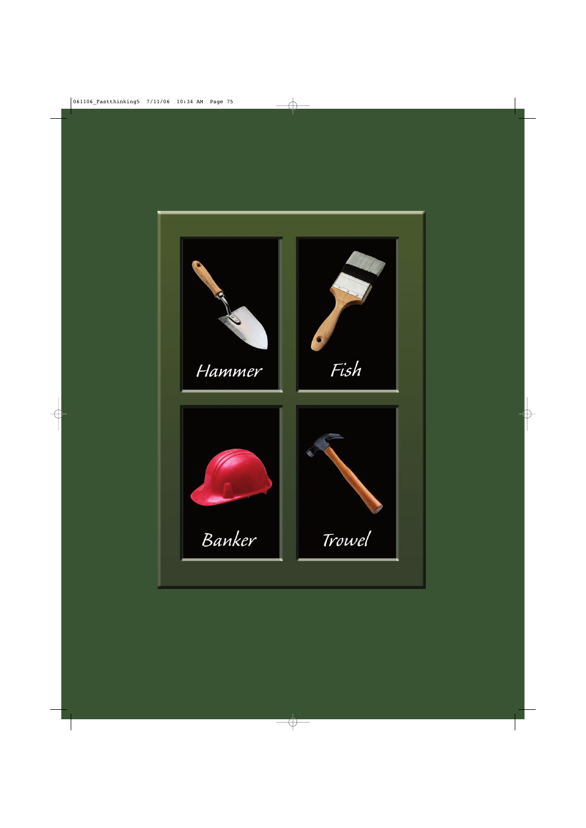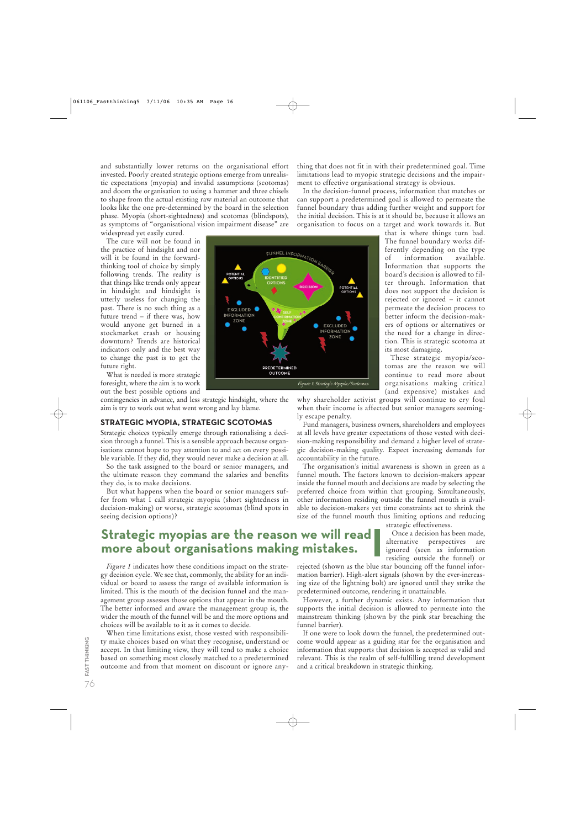and substantially lower returns on the organisational effort invested. Poorly created strategic options emerge from unrealistic expectations (myopia) and invalid assumptions (scotomas) and doom the organisation to using a hammer and three chisels to shape from the actual existing raw material an outcome that looks like the one pre-determined by the board in the selection phase. Myopia (short-sightedness) and scotomas (blindspots), as symptoms of "organisational vision impairment disease" are

widespread yet easily cured.

The cure will not be found in the practice of hindsight and nor will it be found in the forwardthinking tool of choice by simply following trends. The reality is that things like trends only appear in hindsight and hindsight is utterly useless for changing the past. There is no such thing as a future trend – if there was, how would anyone get burned in a stockmarket crash or housing downturn? Trends are historical indicators only and the best way to change the past is to get the future right.

What is needed is more strategic foresight, where the aim is to work out the best possible options and

contingencies in advance, and less strategic hindsight, where the aim is try to work out what went wrong and lay blame.

# **STRATEGIC MYOPIA, STRATEGIC SCOTOMAS**

Strategic choices typically emerge through rationalising a decision through a funnel. This is a sensible approach because organisations cannot hope to pay attention to and act on every possible variable. If they did, they would never make a decision at all.

So the task assigned to the board or senior managers, and the ultimate reason they command the salaries and benefits they do, is to make decisions.

But what happens when the board or senior managers suffer from what I call strategic myopia (short sightedness in decision-making) or worse, strategic scotomas (blind spots in seeing decision options)?



thing that does not fit in with their predetermined goal. Time limitations lead to myopic strategic decisions and the impairment to effective organisational strategy is obvious.

In the decision-funnel process, information that matches or can support a predetermined goal is allowed to permeate the funnel boundary thus adding further weight and support for the initial decision. This is at it should be, because it allows an organisation to focus on a target and work towards it. But

that is where things turn bad. The funnel boundary works differently depending on the type of information available. Information that supports the board's decision is allowed to filter through. Information that does not support the decision is rejected or ignored – it cannot permeate the decision process to better inform the decision-makers of options or alternatives or the need for a change in direction. This is strategic scotoma at its most damaging.

These strategic myopia/scotomas are the reason we will continue to read more about organisations making critical (and expensive) mistakes and

why shareholder activist groups will continue to cry foul when their income is affected but senior managers seemingly escape penalty.

Fund managers, business owners, shareholders and employees at all levels have greater expectations of those vested with decision-making responsibility and demand a higher level of strategic decision-making quality. Expect increasing demands for accountability in the future.

The organisation's initial awareness is shown in green as a funnel mouth. The factors known to decision-makers appear inside the funnel mouth and decisions are made by selecting the preferred choice from within that grouping. Simultaneously, other information residing outside the funnel mouth is available to decision-makers yet time constraints act to shrink the size of the funnel mouth thus limiting options and reducing

#### strategic effectiveness.

Once a decision has been made, alternative perspectives are ignored (seen as information residing outside the funnel) or

# **Strategic myopias are the reason we will read more about organisations making mistakes.**

*Figure 1* indicates how these conditions impact on the strategy decision cycle. We see that, commonly, the ability for an individual or board to assess the range of available information is limited. This is the mouth of the decision funnel and the management group assesses those options that appear in the mouth. The better informed and aware the management group is, the wider the mouth of the funnel will be and the more options and choices will be available to it as it comes to decide.

When time limitations exist, those vested with responsibility make choices based on what they recognise, understand or accept. In that limiting view, they will tend to make a choice based on something most closely matched to a predetermined outcome and from that moment on discount or ignore anyrejected (shown as the blue star bouncing off the funnel information barrier). High-alert signals (shown by the ever-increasing size of the lightning bolt) are ignored until they strike the predetermined outcome, rendering it unattainable.

However, a further dynamic exists. Any information that supports the initial decision is allowed to permeate into the mainstream thinking (shown by the pink star breaching the funnel barrier).

If one were to look down the funnel, the predetermined outcome would appear as a guiding star for the organisation and information that supports that decision is accepted as valid and relevant. This is the realm of self-fulfilling trend development and a critical breakdown in strategic thinking.